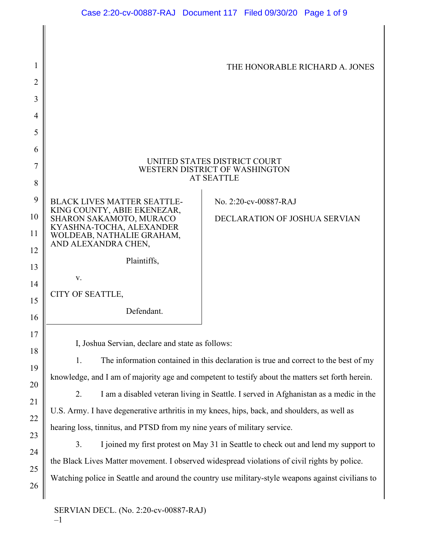| 1              |                                                                                                                                                                                                | THE HONORABLE RICHARD A. JONES |
|----------------|------------------------------------------------------------------------------------------------------------------------------------------------------------------------------------------------|--------------------------------|
| $\overline{2}$ |                                                                                                                                                                                                |                                |
| 3              |                                                                                                                                                                                                |                                |
| 4              |                                                                                                                                                                                                |                                |
| 5              |                                                                                                                                                                                                |                                |
| 6              |                                                                                                                                                                                                | UNITED STATES DISTRICT COURT   |
| 7              | WESTERN DISTRICT OF WASHINGTON<br><b>AT SEATTLE</b>                                                                                                                                            |                                |
| 8              |                                                                                                                                                                                                |                                |
| 9              | <b>BLACK LIVES MATTER SEATTLE-</b><br>KING COUNTY, ABIE EKENEZAR,                                                                                                                              | No. 2:20-cv-00887-RAJ          |
| 10             | SHARON SAKAMOTO, MURACO<br>KYASHNA-TOCHA, ALEXANDER                                                                                                                                            | DECLARATION OF JOSHUA SERVIAN  |
| 11<br>12       | WOLDEAB, NATHALIE GRAHAM,<br>AND ALEXANDRA CHEN,                                                                                                                                               |                                |
| 13             | Plaintiffs,                                                                                                                                                                                    |                                |
| 14             | V.                                                                                                                                                                                             |                                |
| 15             | CITY OF SEATTLE,                                                                                                                                                                               |                                |
| 16             | Defendant.                                                                                                                                                                                     |                                |
| 17             |                                                                                                                                                                                                |                                |
| 18             | I, Joshua Servian, declare and state as follows:                                                                                                                                               |                                |
| 19             | 1.<br>The information contained in this declaration is true and correct to the best of my                                                                                                      |                                |
| 20             | knowledge, and I am of majority age and competent to testify about the matters set forth herein.<br>2.<br>I am a disabled veteran living in Seattle. I served in Afghanistan as a medic in the |                                |
| 21             | U.S. Army. I have degenerative arthritis in my knees, hips, back, and shoulders, as well as                                                                                                    |                                |
| 22             | hearing loss, tinnitus, and PTSD from my nine years of military service.                                                                                                                       |                                |
| 23             | 3.<br>I joined my first protest on May 31 in Seattle to check out and lend my support to                                                                                                       |                                |
| 24             | the Black Lives Matter movement. I observed widespread violations of civil rights by police.                                                                                                   |                                |
| 25             |                                                                                                                                                                                                |                                |

Watching police in Seattle and around the country use military-style weapons against civilians to

26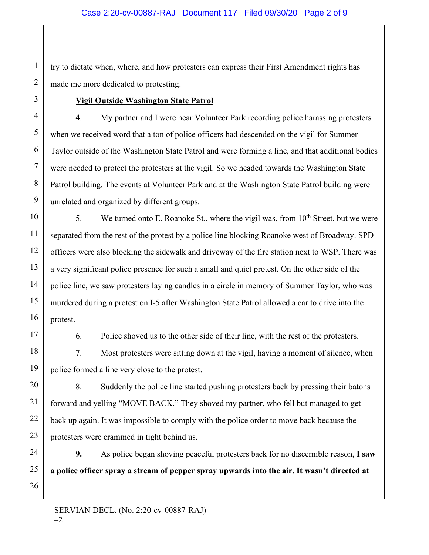try to dictate when, where, and how protesters can express their First Amendment rights has made me more dedicated to protesting.

## **Vigil Outside Washington State Patrol**

4. My partner and I were near Volunteer Park recording police harassing protesters when we received word that a ton of police officers had descended on the vigil for Summer Taylor outside of the Washington State Patrol and were forming a line, and that additional bodies were needed to protect the protesters at the vigil. So we headed towards the Washington State Patrol building. The events at Volunteer Park and at the Washington State Patrol building were unrelated and organized by different groups.

5. We turned onto E. Roanoke St., where the vigil was, from  $10^{th}$  Street, but we were separated from the rest of the protest by a police line blocking Roanoke west of Broadway. SPD officers were also blocking the sidewalk and driveway of the fire station next to WSP. There was a very significant police presence for such a small and quiet protest. On the other side of the police line, we saw protesters laying candles in a circle in memory of Summer Taylor, who was murdered during a protest on I-5 after Washington State Patrol allowed a car to drive into the protest.

6. Police shoved us to the other side of their line, with the rest of the protesters.

7. Most protesters were sitting down at the vigil, having a moment of silence, when police formed a line very close to the protest.

8. Suddenly the police line started pushing protesters back by pressing their batons forward and yelling "MOVE BACK." They shoved my partner, who fell but managed to get back up again. It was impossible to comply with the police order to move back because the protesters were crammed in tight behind us.

**9.** As police began shoving peaceful protesters back for no discernible reason, **I saw a police officer spray a stream of pepper spray upwards into the air. It wasn't directed at**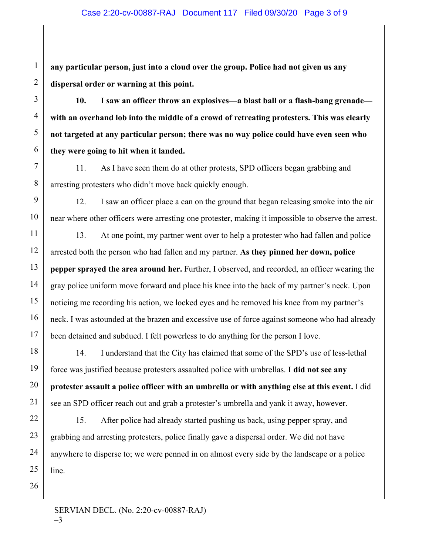**any particular person, just into a cloud over the group. Police had not given us any dispersal order or warning at this point.**

**10. I saw an officer throw an explosives—a blast ball or a flash-bang grenade with an overhand lob into the middle of a crowd of retreating protesters. This was clearly not targeted at any particular person; there was no way police could have even seen who they were going to hit when it landed.** 

11. As I have seen them do at other protests, SPD officers began grabbing and arresting protesters who didn't move back quickly enough.

12. I saw an officer place a can on the ground that began releasing smoke into the air near where other officers were arresting one protester, making it impossible to observe the arrest.

13. At one point, my partner went over to help a protester who had fallen and police arrested both the person who had fallen and my partner. **As they pinned her down, police pepper sprayed the area around her.** Further, I observed, and recorded, an officer wearing the gray police uniform move forward and place his knee into the back of my partner's neck. Upon noticing me recording his action, we locked eyes and he removed his knee from my partner's neck. I was astounded at the brazen and excessive use of force against someone who had already been detained and subdued. I felt powerless to do anything for the person I love.

14. I understand that the City has claimed that some of the SPD's use of less-lethal force was justified because protesters assaulted police with umbrellas. **I did not see any protester assault a police officer with an umbrella or with anything else at this event.** I did see an SPD officer reach out and grab a protester's umbrella and yank it away, however.

15. After police had already started pushing us back, using pepper spray, and grabbing and arresting protesters, police finally gave a dispersal order. We did not have anywhere to disperse to; we were penned in on almost every side by the landscape or a police line.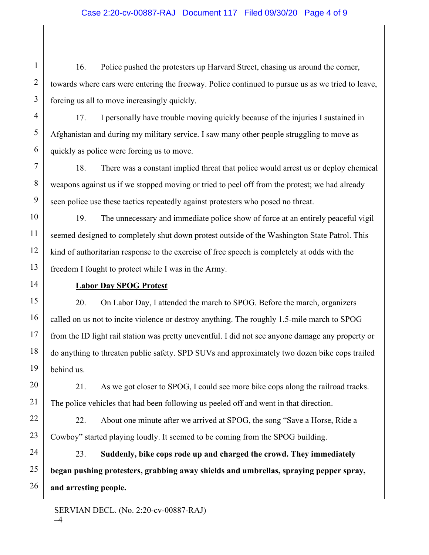### Case 2:20-cv-00887-RAJ Document 117 Filed 09/30/20 Page 4 of 9

16. Police pushed the protesters up Harvard Street, chasing us around the corner, towards where cars were entering the freeway. Police continued to pursue us as we tried to leave, forcing us all to move increasingly quickly.

17. I personally have trouble moving quickly because of the injuries I sustained in Afghanistan and during my military service. I saw many other people struggling to move as quickly as police were forcing us to move.

18. There was a constant implied threat that police would arrest us or deploy chemical weapons against us if we stopped moving or tried to peel off from the protest; we had already seen police use these tactics repeatedly against protesters who posed no threat.

19. The unnecessary and immediate police show of force at an entirely peaceful vigil seemed designed to completely shut down protest outside of the Washington State Patrol. This kind of authoritarian response to the exercise of free speech is completely at odds with the freedom I fought to protect while I was in the Army.

#### **Labor Day SPOG Protest**

20. On Labor Day, I attended the march to SPOG. Before the march, organizers called on us not to incite violence or destroy anything. The roughly 1.5-mile march to SPOG from the ID light rail station was pretty uneventful. I did not see anyone damage any property or do anything to threaten public safety. SPD SUVs and approximately two dozen bike cops trailed behind us.

21. As we got closer to SPOG, I could see more bike cops along the railroad tracks. The police vehicles that had been following us peeled off and went in that direction.

22. About one minute after we arrived at SPOG, the song "Save a Horse, Ride a Cowboy" started playing loudly. It seemed to be coming from the SPOG building.

23. **Suddenly, bike cops rode up and charged the crowd. They immediately began pushing protesters, grabbing away shields and umbrellas, spraying pepper spray, and arresting people.** 

SERVIAN DECL. (No. 2:20-cv-00887-RAJ) –4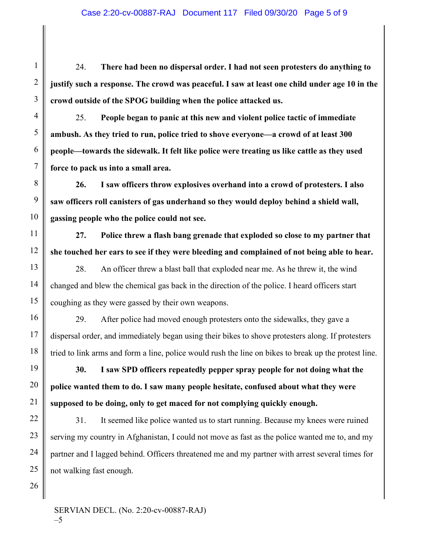24. **There had been no dispersal order. I had not seen protesters do anything to justify such a response. The crowd was peaceful. I saw at least one child under age 10 in the crowd outside of the SPOG building when the police attacked us.**

25. **People began to panic at this new and violent police tactic of immediate ambush. As they tried to run, police tried to shove everyone—a crowd of at least 300 people—towards the sidewalk. It felt like police were treating us like cattle as they used force to pack us into a small area.**

**26. I saw officers throw explosives overhand into a crowd of protesters. I also saw officers roll canisters of gas underhand so they would deploy behind a shield wall, gassing people who the police could not see.**

**27. Police threw a flash bang grenade that exploded so close to my partner that she touched her ears to see if they were bleeding and complained of not being able to hear.**

28. An officer threw a blast ball that exploded near me. As he threw it, the wind changed and blew the chemical gas back in the direction of the police. I heard officers start coughing as they were gassed by their own weapons.

29. After police had moved enough protesters onto the sidewalks, they gave a dispersal order, and immediately began using their bikes to shove protesters along. If protesters tried to link arms and form a line, police would rush the line on bikes to break up the protest line.

**30. I saw SPD officers repeatedly pepper spray people for not doing what the police wanted them to do. I saw many people hesitate, confused about what they were supposed to be doing, only to get maced for not complying quickly enough.** 

31. It seemed like police wanted us to start running. Because my knees were ruined serving my country in Afghanistan, I could not move as fast as the police wanted me to, and my partner and I lagged behind. Officers threatened me and my partner with arrest several times for not walking fast enough.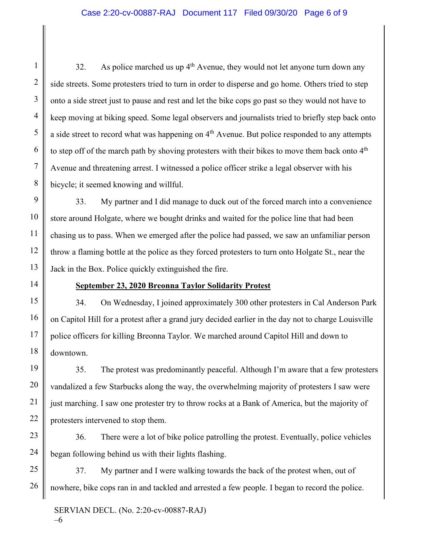32. As police marched us up  $4<sup>th</sup>$  Avenue, they would not let anyone turn down any side streets. Some protesters tried to turn in order to disperse and go home. Others tried to step onto a side street just to pause and rest and let the bike cops go past so they would not have to keep moving at biking speed. Some legal observers and journalists tried to briefly step back onto a side street to record what was happening on  $4<sup>th</sup>$  Avenue. But police responded to any attempts to step off of the march path by shoving protesters with their bikes to move them back onto 4<sup>th</sup> Avenue and threatening arrest. I witnessed a police officer strike a legal observer with his bicycle; it seemed knowing and willful.

33. My partner and I did manage to duck out of the forced march into a convenience store around Holgate, where we bought drinks and waited for the police line that had been chasing us to pass. When we emerged after the police had passed, we saw an unfamiliar person throw a flaming bottle at the police as they forced protesters to turn onto Holgate St., near the Jack in the Box. Police quickly extinguished the fire.

## **September 23, 2020 Breonna Taylor Solidarity Protest**

34. On Wednesday, I joined approximately 300 other protesters in Cal Anderson Park on Capitol Hill for a protest after a grand jury decided earlier in the day not to charge Louisville police officers for killing Breonna Taylor. We marched around Capitol Hill and down to downtown.

35. The protest was predominantly peaceful. Although I'm aware that a few protesters vandalized a few Starbucks along the way, the overwhelming majority of protesters I saw were just marching. I saw one protester try to throw rocks at a Bank of America, but the majority of protesters intervened to stop them.

36. There were a lot of bike police patrolling the protest. Eventually, police vehicles began following behind us with their lights flashing.

37. My partner and I were walking towards the back of the protest when, out of nowhere, bike cops ran in and tackled and arrested a few people. I began to record the police.

SERVIAN DECL. (No. 2:20-cv-00887-RAJ) –6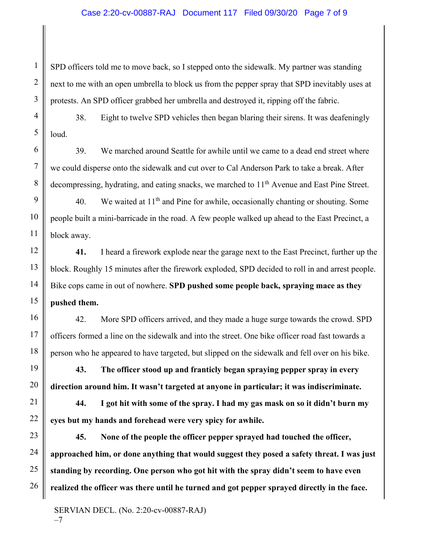#### Case 2:20-cv-00887-RAJ Document 117 Filed 09/30/20 Page 7 of 9

SPD officers told me to move back, so I stepped onto the sidewalk. My partner was standing next to me with an open umbrella to block us from the pepper spray that SPD inevitably uses at protests. An SPD officer grabbed her umbrella and destroyed it, ripping off the fabric.

38. Eight to twelve SPD vehicles then began blaring their sirens. It was deafeningly loud.

39. We marched around Seattle for awhile until we came to a dead end street where we could disperse onto the sidewalk and cut over to Cal Anderson Park to take a break. After decompressing, hydrating, and eating snacks, we marched to  $11<sup>th</sup>$  Avenue and East Pine Street.

40. We waited at  $11<sup>th</sup>$  and Pine for awhile, occasionally chanting or shouting. Some people built a mini-barricade in the road. A few people walked up ahead to the East Precinct, a block away.

**41.** I heard a firework explode near the garage next to the East Precinct, further up the block. Roughly 15 minutes after the firework exploded, SPD decided to roll in and arrest people. Bike cops came in out of nowhere. **SPD pushed some people back, spraying mace as they pushed them.**

42. More SPD officers arrived, and they made a huge surge towards the crowd. SPD officers formed a line on the sidewalk and into the street. One bike officer road fast towards a person who he appeared to have targeted, but slipped on the sidewalk and fell over on his bike.

**43. The officer stood up and franticly began spraying pepper spray in every direction around him. It wasn't targeted at anyone in particular; it was indiscriminate.** 

**44. I got hit with some of the spray. I had my gas mask on so it didn't burn my eyes but my hands and forehead were very spicy for awhile.**

**45. None of the people the officer pepper sprayed had touched the officer, approached him, or done anything that would suggest they posed a safety threat. I was just standing by recording. One person who got hit with the spray didn't seem to have even realized the officer was there until he turned and got pepper sprayed directly in the face.**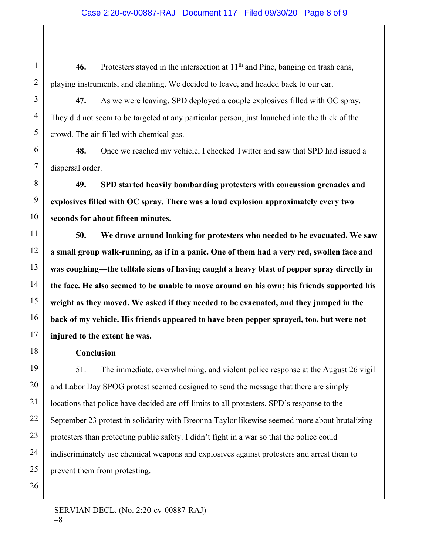46. Protesters stayed in the intersection at  $11<sup>th</sup>$  and Pine, banging on trash cans, playing instruments, and chanting. We decided to leave, and headed back to our car.

**47.** As we were leaving, SPD deployed a couple explosives filled with OC spray. They did not seem to be targeted at any particular person, just launched into the thick of the crowd. The air filled with chemical gas.

**48.** Once we reached my vehicle, I checked Twitter and saw that SPD had issued a dispersal order.

**49. SPD started heavily bombarding protesters with concussion grenades and explosives filled with OC spray. There was a loud explosion approximately every two seconds for about fifteen minutes.**

**50. We drove around looking for protesters who needed to be evacuated. We saw a small group walk-running, as if in a panic. One of them had a very red, swollen face and was coughing—the telltale signs of having caught a heavy blast of pepper spray directly in the face. He also seemed to be unable to move around on his own; his friends supported his weight as they moved. We asked if they needed to be evacuated, and they jumped in the back of my vehicle. His friends appeared to have been pepper sprayed, too, but were not injured to the extent he was.** 

### **Conclusion**

51. The immediate, overwhelming, and violent police response at the August 26 vigil and Labor Day SPOG protest seemed designed to send the message that there are simply locations that police have decided are off-limits to all protesters. SPD's response to the September 23 protest in solidarity with Breonna Taylor likewise seemed more about brutalizing protesters than protecting public safety. I didn't fight in a war so that the police could indiscriminately use chemical weapons and explosives against protesters and arrest them to prevent them from protesting.

SERVIAN DECL. (No. 2:20-cv-00887-RAJ) –8